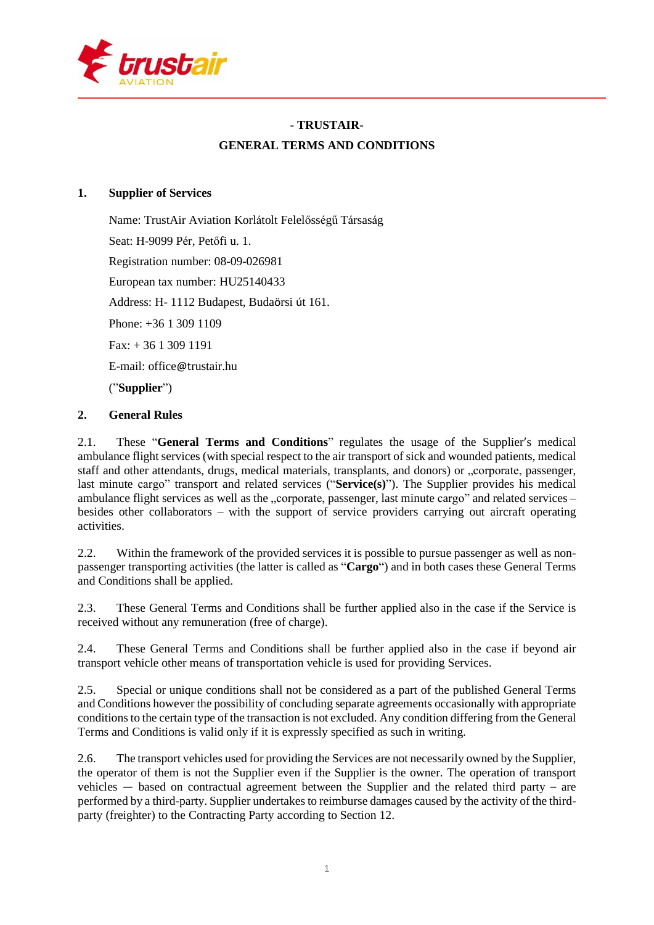

# **- TRUSTAIR-GENERAL TERMS AND CONDITIONS**

## **1. Supplier of Services**

Name: TrustAir Aviation Korlátolt Felelősségű Társaság Seat: H-9099 Pér, Petőfi u. 1. Registration number: 08-09-026981 European tax number: HU25140433 Address: H- 1112 Budapest, Budaörsi út 161. Phone: +36 1 309 1109 Fax: + 36 1 309 1191 E-mail: office@trustair.hu ("**Supplier**")

## **2. General Rules**

2.1. These "**General Terms and Conditions**" regulates the usage of the Supplier's medical ambulance flight services (with special respect to the air transport of sick and wounded patients, medical staff and other attendants, drugs, medical materials, transplants, and donors) or "corporate, passenger, last minute cargo" transport and related services ("**Service(s)**"). The Supplier provides his medical ambulance flight services as well as the "corporate, passenger, last minute cargo" and related services – besides other collaborators – with the support of service providers carrying out aircraft operating activities.

2.2. Within the framework of the provided services it is possible to pursue passenger as well as nonpassenger transporting activities (the latter is called as "**Cargo**") and in both cases these General Terms and Conditions shall be applied.

2.3. These General Terms and Conditions shall be further applied also in the case if the Service is received without any remuneration (free of charge).

2.4. These General Terms and Conditions shall be further applied also in the case if beyond air transport vehicle other means of transportation vehicle is used for providing Services.

2.5. Special or unique conditions shall not be considered as a part of the published General Terms and Conditions however the possibility of concluding separate agreements occasionally with appropriate conditionsto the certain type of the transaction is not excluded. Any condition differing from the General Terms and Conditions is valid only if it is expressly specified as such in writing.

2.6. The transport vehicles used for providing the Services are not necessarily owned by the Supplier, the operator of them is not the Supplier even if the Supplier is the owner. The operation of transport vehicles — based on contractual agreement between the Supplier and the related third party – are performed by a third-party. Supplier undertakes to reimburse damages caused by the activity of the thirdparty (freighter) to the Contracting Party according to Section 12.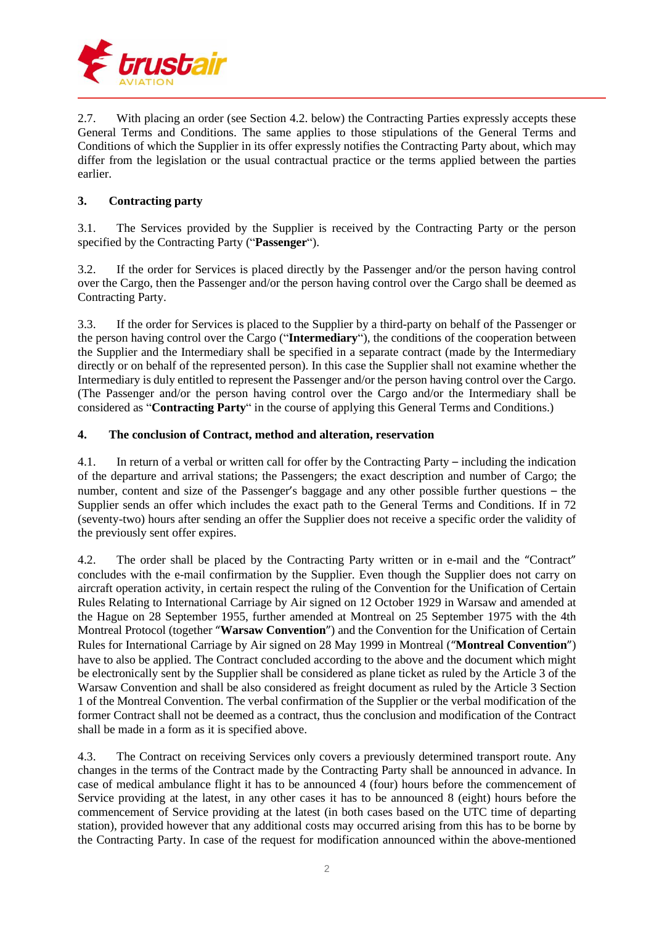

2.7. With placing an order (see Section 4.2. below) the Contracting Parties expressly accepts these General Terms and Conditions. The same applies to those stipulations of the General Terms and Conditions of which the Supplier in its offer expressly notifies the Contracting Party about, which may differ from the legislation or the usual contractual practice or the terms applied between the parties earlier.

## **3. Contracting party**

3.1. The Services provided by the Supplier is received by the Contracting Party or the person specified by the Contracting Party ("**Passenger**").

3.2. If the order for Services is placed directly by the Passenger and/or the person having control over the Cargo, then the Passenger and/or the person having control over the Cargo shall be deemed as Contracting Party.

3.3. If the order for Services is placed to the Supplier by a third-party on behalf of the Passenger or the person having control over the Cargo ("**Intermediary**"), the conditions of the cooperation between the Supplier and the Intermediary shall be specified in a separate contract (made by the Intermediary directly or on behalf of the represented person). In this case the Supplier shall not examine whether the Intermediary is duly entitled to represent the Passenger and/or the person having control over the Cargo. (The Passenger and/or the person having control over the Cargo and/or the Intermediary shall be considered as "**Contracting Party**" in the course of applying this General Terms and Conditions.)

## **4. The conclusion of Contract, method and alteration, reservation**

4.1. In return of a verbal or written call for offer by the Contracting Party – including the indication of the departure and arrival stations; the Passengers; the exact description and number of Cargo; the number, content and size of the Passenger's baggage and any other possible further questions – the Supplier sends an offer which includes the exact path to the General Terms and Conditions. If in 72 (seventy-two) hours after sending an offer the Supplier does not receive a specific order the validity of the previously sent offer expires.

4.2. The order shall be placed by the Contracting Party written or in e-mail and the "Contract" concludes with the e-mail confirmation by the Supplier. Even though the Supplier does not carry on aircraft operation activity, in certain respect the ruling of the Convention for the Unification of Certain Rules Relating to International Carriage by Air signed on 12 October 1929 in Warsaw and amended at the Hague on 28 September 1955, further amended at Montreal on 25 September 1975 with the 4th Montreal Protocol (together "**Warsaw Convention**") and the Convention for the Unification of Certain Rules for International Carriage by Air signed on 28 May 1999 in Montreal ("**Montreal Convention**") have to also be applied. The Contract concluded according to the above and the document which might be electronically sent by the Supplier shall be considered as plane ticket as ruled by the Article 3 of the Warsaw Convention and shall be also considered as freight document as ruled by the Article 3 Section 1 of the Montreal Convention. The verbal confirmation of the Supplier or the verbal modification of the former Contract shall not be deemed as a contract, thus the conclusion and modification of the Contract shall be made in a form as it is specified above.

4.3. The Contract on receiving Services only covers a previously determined transport route. Any changes in the terms of the Contract made by the Contracting Party shall be announced in advance. In case of medical ambulance flight it has to be announced 4 (four) hours before the commencement of Service providing at the latest, in any other cases it has to be announced 8 (eight) hours before the commencement of Service providing at the latest (in both cases based on the UTC time of departing station), provided however that any additional costs may occurred arising from this has to be borne by the Contracting Party. In case of the request for modification announced within the above-mentioned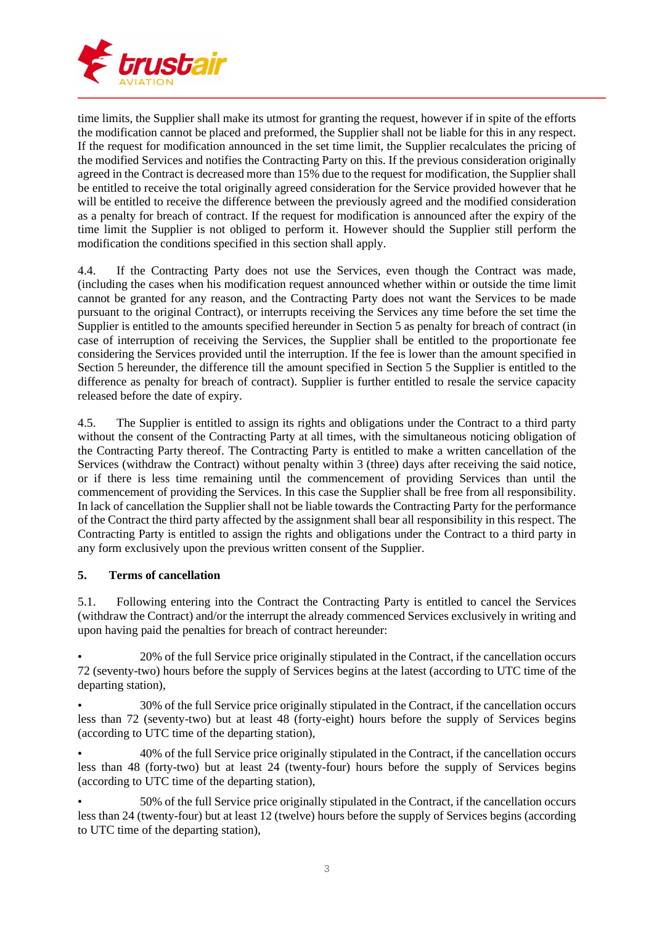

time limits, the Supplier shall make its utmost for granting the request, however if in spite of the efforts the modification cannot be placed and preformed, the Supplier shall not be liable for this in any respect. If the request for modification announced in the set time limit, the Supplier recalculates the pricing of the modified Services and notifies the Contracting Party on this. If the previous consideration originally agreed in the Contract is decreased more than 15% due to the request for modification, the Supplier shall be entitled to receive the total originally agreed consideration for the Service provided however that he will be entitled to receive the difference between the previously agreed and the modified consideration as a penalty for breach of contract. If the request for modification is announced after the expiry of the time limit the Supplier is not obliged to perform it. However should the Supplier still perform the modification the conditions specified in this section shall apply.

4.4. If the Contracting Party does not use the Services, even though the Contract was made, (including the cases when his modification request announced whether within or outside the time limit cannot be granted for any reason, and the Contracting Party does not want the Services to be made pursuant to the original Contract), or interrupts receiving the Services any time before the set time the Supplier is entitled to the amounts specified hereunder in Section 5 as penalty for breach of contract (in case of interruption of receiving the Services, the Supplier shall be entitled to the proportionate fee considering the Services provided until the interruption. If the fee is lower than the amount specified in Section 5 hereunder, the difference till the amount specified in Section 5 the Supplier is entitled to the difference as penalty for breach of contract). Supplier is further entitled to resale the service capacity released before the date of expiry.

4.5. The Supplier is entitled to assign its rights and obligations under the Contract to a third party without the consent of the Contracting Party at all times, with the simultaneous noticing obligation of the Contracting Party thereof. The Contracting Party is entitled to make a written cancellation of the Services (withdraw the Contract) without penalty within 3 (three) days after receiving the said notice, or if there is less time remaining until the commencement of providing Services than until the commencement of providing the Services. In this case the Supplier shall be free from all responsibility. In lack of cancellation the Supplier shall not be liable towards the Contracting Party for the performance of the Contract the third party affected by the assignment shall bear all responsibility in this respect. The Contracting Party is entitled to assign the rights and obligations under the Contract to a third party in any form exclusively upon the previous written consent of the Supplier.

## **5. Terms of cancellation**

5.1. Following entering into the Contract the Contracting Party is entitled to cancel the Services (withdraw the Contract) and/or the interrupt the already commenced Services exclusively in writing and upon having paid the penalties for breach of contract hereunder:

• 20% of the full Service price originally stipulated in the Contract, if the cancellation occurs 72 (seventy-two) hours before the supply of Services begins at the latest (according to UTC time of the departing station),

• 30% of the full Service price originally stipulated in the Contract, if the cancellation occurs less than 72 (seventy-two) but at least 48 (forty-eight) hours before the supply of Services begins (according to UTC time of the departing station),

• 40% of the full Service price originally stipulated in the Contract, if the cancellation occurs less than 48 (forty-two) but at least 24 (twenty-four) hours before the supply of Services begins (according to UTC time of the departing station),

• 50% of the full Service price originally stipulated in the Contract, if the cancellation occurs less than 24 (twenty-four) but at least 12 (twelve) hours before the supply of Services begins (according to UTC time of the departing station),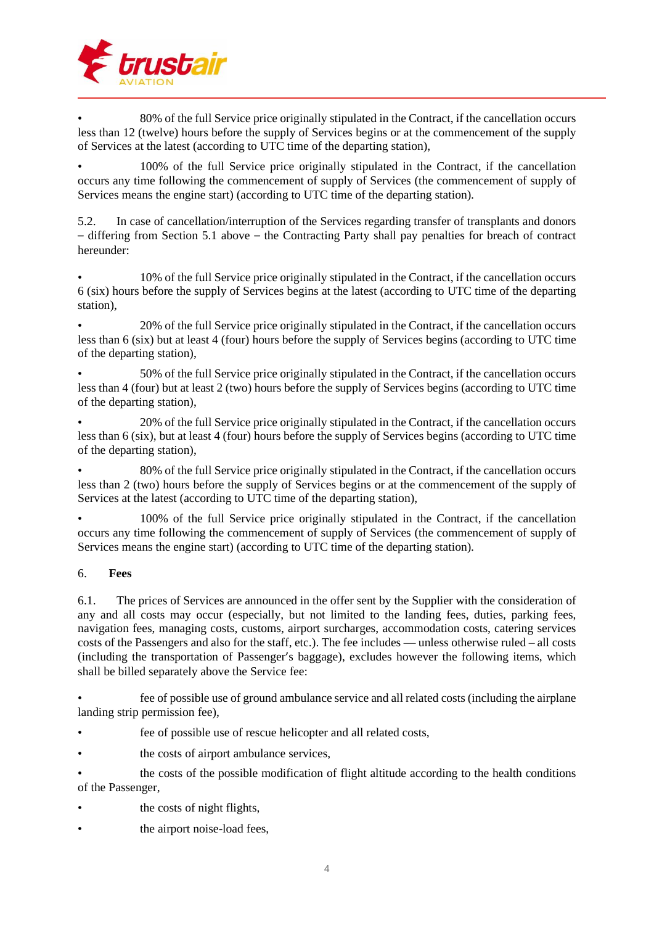

• 80% of the full Service price originally stipulated in the Contract, if the cancellation occurs less than 12 (twelve) hours before the supply of Services begins or at the commencement of the supply of Services at the latest (according to UTC time of the departing station),

• 100% of the full Service price originally stipulated in the Contract, if the cancellation occurs any time following the commencement of supply of Services (the commencement of supply of Services means the engine start) (according to UTC time of the departing station).

5.2. In case of cancellation/interruption of the Services regarding transfer of transplants and donors – differing from Section 5.1 above – the Contracting Party shall pay penalties for breach of contract hereunder:

• 10% of the full Service price originally stipulated in the Contract, if the cancellation occurs 6 (six) hours before the supply of Services begins at the latest (according to UTC time of the departing station),

• 20% of the full Service price originally stipulated in the Contract, if the cancellation occurs less than 6 (six) but at least 4 (four) hours before the supply of Services begins (according to UTC time of the departing station),

• 50% of the full Service price originally stipulated in the Contract, if the cancellation occurs less than 4 (four) but at least 2 (two) hours before the supply of Services begins (according to UTC time of the departing station),

• 20% of the full Service price originally stipulated in the Contract, if the cancellation occurs less than 6 (six), but at least 4 (four) hours before the supply of Services begins (according to UTC time of the departing station),

• 80% of the full Service price originally stipulated in the Contract, if the cancellation occurs less than 2 (two) hours before the supply of Services begins or at the commencement of the supply of Services at the latest (according to UTC time of the departing station),

• 100% of the full Service price originally stipulated in the Contract, if the cancellation occurs any time following the commencement of supply of Services (the commencement of supply of Services means the engine start) (according to UTC time of the departing station).

## 6. **Fees**

6.1. The prices of Services are announced in the offer sent by the Supplier with the consideration of any and all costs may occur (especially, but not limited to the landing fees, duties, parking fees, navigation fees, managing costs, customs, airport surcharges, accommodation costs, catering services costs of the Passengers and also for the staff, etc.). The fee includes — unless otherwise ruled – all costs (including the transportation of Passenger's baggage), excludes however the following items, which shall be billed separately above the Service fee:

• fee of possible use of ground ambulance service and all related costs (including the airplane landing strip permission fee),

- fee of possible use of rescue helicopter and all related costs,
- the costs of airport ambulance services,
- the costs of the possible modification of flight altitude according to the health conditions of the Passenger,
- the costs of night flights,
- the airport noise-load fees,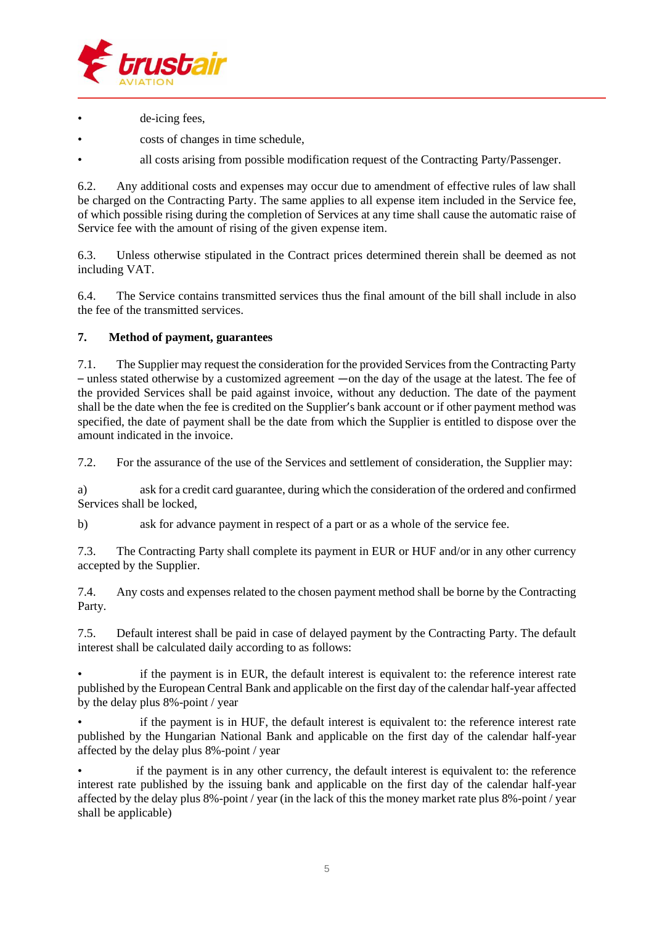

- de-icing fees,
- costs of changes in time schedule,
- all costs arising from possible modification request of the Contracting Party/Passenger.

6.2. Any additional costs and expenses may occur due to amendment of effective rules of law shall be charged on the Contracting Party. The same applies to all expense item included in the Service fee, of which possible rising during the completion of Services at any time shall cause the automatic raise of Service fee with the amount of rising of the given expense item.

6.3. Unless otherwise stipulated in the Contract prices determined therein shall be deemed as not including VAT.

6.4. The Service contains transmitted services thus the final amount of the bill shall include in also the fee of the transmitted services.

## **7. Method of payment, guarantees**

7.1. The Supplier may request the consideration for the provided Servicesfrom the Contracting Party – unless stated otherwise by a customized agreement —on the day of the usage at the latest. The fee of the provided Services shall be paid against invoice, without any deduction. The date of the payment shall be the date when the fee is credited on the Supplier's bank account or if other payment method was specified, the date of payment shall be the date from which the Supplier is entitled to dispose over the amount indicated in the invoice.

7.2. For the assurance of the use of the Services and settlement of consideration, the Supplier may:

a) ask for a credit card guarantee, during which the consideration of the ordered and confirmed Services shall be locked,

b) ask for advance payment in respect of a part or as a whole of the service fee.

7.3. The Contracting Party shall complete its payment in EUR or HUF and/or in any other currency accepted by the Supplier.

7.4. Any costs and expenses related to the chosen payment method shall be borne by the Contracting Party.

7.5. Default interest shall be paid in case of delayed payment by the Contracting Party. The default interest shall be calculated daily according to as follows:

if the payment is in EUR, the default interest is equivalent to: the reference interest rate published by the European Central Bank and applicable on the first day of the calendar half-year affected by the delay plus 8%-point / year

if the payment is in HUF, the default interest is equivalent to: the reference interest rate published by the Hungarian National Bank and applicable on the first day of the calendar half-year affected by the delay plus 8%-point / year

if the payment is in any other currency, the default interest is equivalent to: the reference interest rate published by the issuing bank and applicable on the first day of the calendar half-year affected by the delay plus 8%-point / year (in the lack of this the money market rate plus 8%-point / year shall be applicable)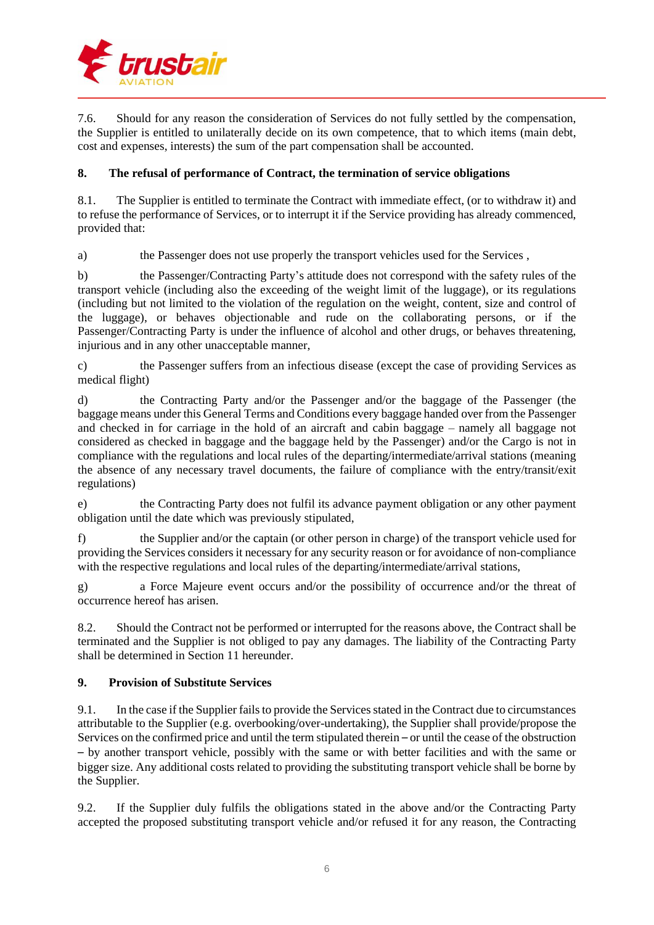

7.6. Should for any reason the consideration of Services do not fully settled by the compensation, the Supplier is entitled to unilaterally decide on its own competence, that to which items (main debt, cost and expenses, interests) the sum of the part compensation shall be accounted.

## **8. The refusal of performance of Contract, the termination of service obligations**

8.1. The Supplier is entitled to terminate the Contract with immediate effect, (or to withdraw it) and to refuse the performance of Services, or to interrupt it if the Service providing has already commenced, provided that:

a) the Passenger does not use properly the transport vehicles used for the Services ,

b) the Passenger/Contracting Party's attitude does not correspond with the safety rules of the transport vehicle (including also the exceeding of the weight limit of the luggage), or its regulations (including but not limited to the violation of the regulation on the weight, content, size and control of the luggage), or behaves objectionable and rude on the collaborating persons, or if the Passenger/Contracting Party is under the influence of alcohol and other drugs, or behaves threatening, injurious and in any other unacceptable manner,

c) the Passenger suffers from an infectious disease (except the case of providing Services as medical flight)

d) the Contracting Party and/or the Passenger and/or the baggage of the Passenger (the baggage means under this General Terms and Conditions every baggage handed over from the Passenger and checked in for carriage in the hold of an aircraft and cabin baggage – namely all baggage not considered as checked in baggage and the baggage held by the Passenger) and/or the Cargo is not in compliance with the regulations and local rules of the departing/intermediate/arrival stations (meaning the absence of any necessary travel documents, the failure of compliance with the entry/transit/exit regulations)

e) the Contracting Party does not fulfil its advance payment obligation or any other payment obligation until the date which was previously stipulated,

f) the Supplier and/or the captain (or other person in charge) of the transport vehicle used for providing the Services considers it necessary for any security reason or for avoidance of non-compliance with the respective regulations and local rules of the departing/intermediate/arrival stations,

g) a Force Majeure event occurs and/or the possibility of occurrence and/or the threat of occurrence hereof has arisen.

8.2. Should the Contract not be performed or interrupted for the reasons above, the Contract shall be terminated and the Supplier is not obliged to pay any damages. The liability of the Contracting Party shall be determined in Section 11 hereunder.

## **9. Provision of Substitute Services**

9.1. In the case if the Supplier failsto provide the Servicesstated in the Contract due to circumstances attributable to the Supplier (e.g. overbooking/over-undertaking), the Supplier shall provide/propose the Services on the confirmed price and until the term stipulated therein – or until the cease of the obstruction – by another transport vehicle, possibly with the same or with better facilities and with the same or bigger size. Any additional costs related to providing the substituting transport vehicle shall be borne by the Supplier.

9.2. If the Supplier duly fulfils the obligations stated in the above and/or the Contracting Party accepted the proposed substituting transport vehicle and/or refused it for any reason, the Contracting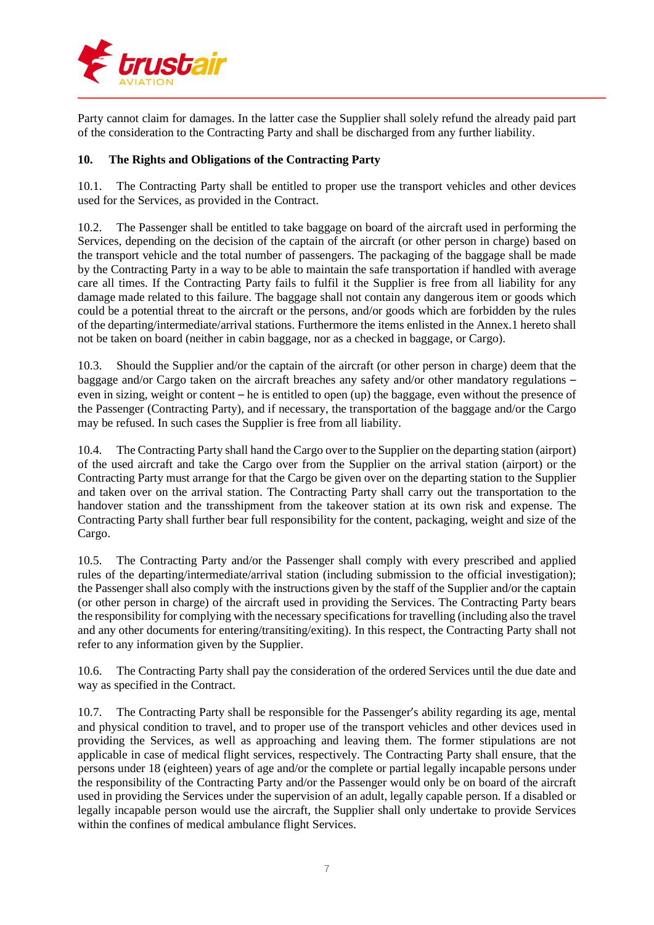

Party cannot claim for damages. In the latter case the Supplier shall solely refund the already paid part of the consideration to the Contracting Party and shall be discharged from any further liability.

#### **10. The Rights and Obligations of the Contracting Party**

10.1. The Contracting Party shall be entitled to proper use the transport vehicles and other devices used for the Services, as provided in the Contract.

10.2. The Passenger shall be entitled to take baggage on board of the aircraft used in performing the Services, depending on the decision of the captain of the aircraft (or other person in charge) based on the transport vehicle and the total number of passengers. The packaging of the baggage shall be made by the Contracting Party in a way to be able to maintain the safe transportation if handled with average care all times. If the Contracting Party fails to fulfil it the Supplier is free from all liability for any damage made related to this failure. The baggage shall not contain any dangerous item or goods which could be a potential threat to the aircraft or the persons, and/or goods which are forbidden by the rules of the departing/intermediate/arrival stations. Furthermore the items enlisted in the Annex.1 hereto shall not be taken on board (neither in cabin baggage, nor as a checked in baggage, or Cargo).

10.3. Should the Supplier and/or the captain of the aircraft (or other person in charge) deem that the baggage and/or Cargo taken on the aircraft breaches any safety and/or other mandatory regulations – even in sizing, weight or content – he is entitled to open (up) the baggage, even without the presence of the Passenger (Contracting Party), and if necessary, the transportation of the baggage and/or the Cargo may be refused. In such cases the Supplier is free from all liability.

10.4. The Contracting Party shall hand the Cargo over to the Supplier on the departing station (airport) of the used aircraft and take the Cargo over from the Supplier on the arrival station (airport) or the Contracting Party must arrange for that the Cargo be given over on the departing station to the Supplier and taken over on the arrival station. The Contracting Party shall carry out the transportation to the handover station and the transshipment from the takeover station at its own risk and expense. The Contracting Party shall further bear full responsibility for the content, packaging, weight and size of the Cargo.

10.5. The Contracting Party and/or the Passenger shall comply with every prescribed and applied rules of the departing/intermediate/arrival station (including submission to the official investigation); the Passenger shall also comply with the instructions given by the staff of the Supplier and/or the captain (or other person in charge) of the aircraft used in providing the Services. The Contracting Party bears the responsibility for complying with the necessary specificationsfor travelling (including also the travel and any other documents for entering/transiting/exiting). In this respect, the Contracting Party shall not refer to any information given by the Supplier.

10.6. The Contracting Party shall pay the consideration of the ordered Services until the due date and way as specified in the Contract.

10.7. The Contracting Party shall be responsible for the Passenger's ability regarding its age, mental and physical condition to travel, and to proper use of the transport vehicles and other devices used in providing the Services, as well as approaching and leaving them. The former stipulations are not applicable in case of medical flight services, respectively. The Contracting Party shall ensure, that the persons under 18 (eighteen) years of age and/or the complete or partial legally incapable persons under the responsibility of the Contracting Party and/or the Passenger would only be on board of the aircraft used in providing the Services under the supervision of an adult, legally capable person. If a disabled or legally incapable person would use the aircraft, the Supplier shall only undertake to provide Services within the confines of medical ambulance flight Services.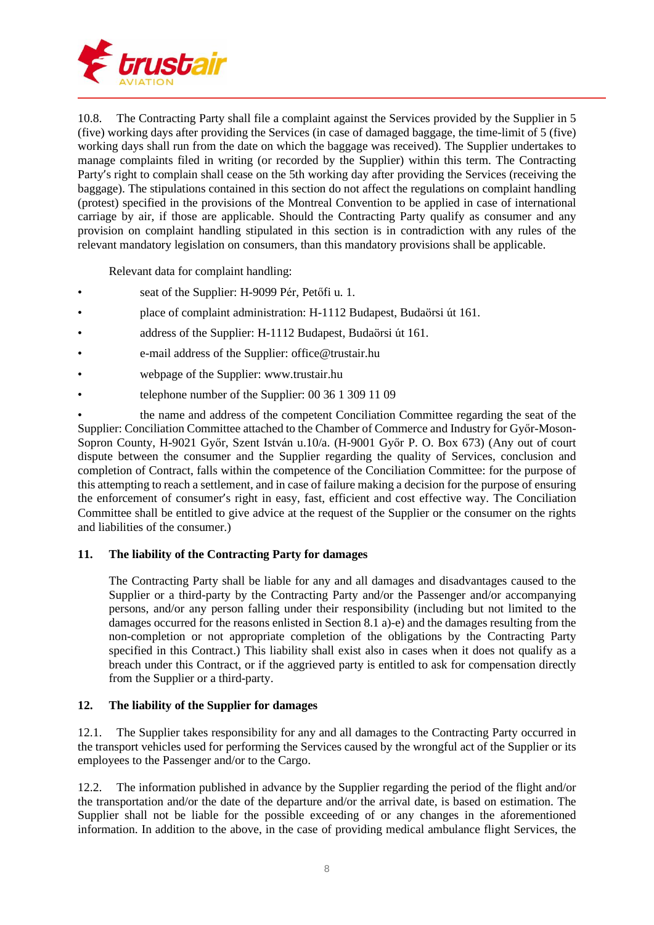

10.8. The Contracting Party shall file a complaint against the Services provided by the Supplier in 5 (five) working days after providing the Services (in case of damaged baggage, the time-limit of 5 (five) working days shall run from the date on which the baggage was received). The Supplier undertakes to manage complaints filed in writing (or recorded by the Supplier) within this term. The Contracting Party's right to complain shall cease on the 5th working day after providing the Services (receiving the baggage). The stipulations contained in this section do not affect the regulations on complaint handling (protest) specified in the provisions of the Montreal Convention to be applied in case of international carriage by air, if those are applicable. Should the Contracting Party qualify as consumer and any provision on complaint handling stipulated in this section is in contradiction with any rules of the relevant mandatory legislation on consumers, than this mandatory provisions shall be applicable.

Relevant data for complaint handling:

- seat of the Supplier: H-9099 Pér, Petőfi u. 1.
- place of complaint administration: H-1112 Budapest, Budaörsi út 161.
- address of the Supplier: H-1112 Budapest, Budaörsi út 161.
- e-mail address of the Supplier: office@trustair.hu
- webpage of the Supplier: www.trustair.hu
- telephone number of the Supplier: 00 36 1 309 11 09

• the name and address of the competent Conciliation Committee regarding the seat of the Supplier: Conciliation Committee attached to the Chamber of Commerce and Industry for Győr-Moson-Sopron County, H-9021 Győr, Szent István u.10/a. (H-9001 Győr P. O. Box 673) (Any out of court dispute between the consumer and the Supplier regarding the quality of Services, conclusion and completion of Contract, falls within the competence of the Conciliation Committee: for the purpose of this attempting to reach a settlement, and in case of failure making a decision for the purpose of ensuring the enforcement of consumer's right in easy, fast, efficient and cost effective way. The Conciliation Committee shall be entitled to give advice at the request of the Supplier or the consumer on the rights and liabilities of the consumer.)

## **11. The liability of the Contracting Party for damages**

The Contracting Party shall be liable for any and all damages and disadvantages caused to the Supplier or a third-party by the Contracting Party and/or the Passenger and/or accompanying persons, and/or any person falling under their responsibility (including but not limited to the damages occurred for the reasons enlisted in Section 8.1 a)-e) and the damages resulting from the non-completion or not appropriate completion of the obligations by the Contracting Party specified in this Contract.) This liability shall exist also in cases when it does not qualify as a breach under this Contract, or if the aggrieved party is entitled to ask for compensation directly from the Supplier or a third-party.

## **12. The liability of the Supplier for damages**

12.1. The Supplier takes responsibility for any and all damages to the Contracting Party occurred in the transport vehicles used for performing the Services caused by the wrongful act of the Supplier or its employees to the Passenger and/or to the Cargo.

12.2. The information published in advance by the Supplier regarding the period of the flight and/or the transportation and/or the date of the departure and/or the arrival date, is based on estimation. The Supplier shall not be liable for the possible exceeding of or any changes in the aforementioned information. In addition to the above, in the case of providing medical ambulance flight Services, the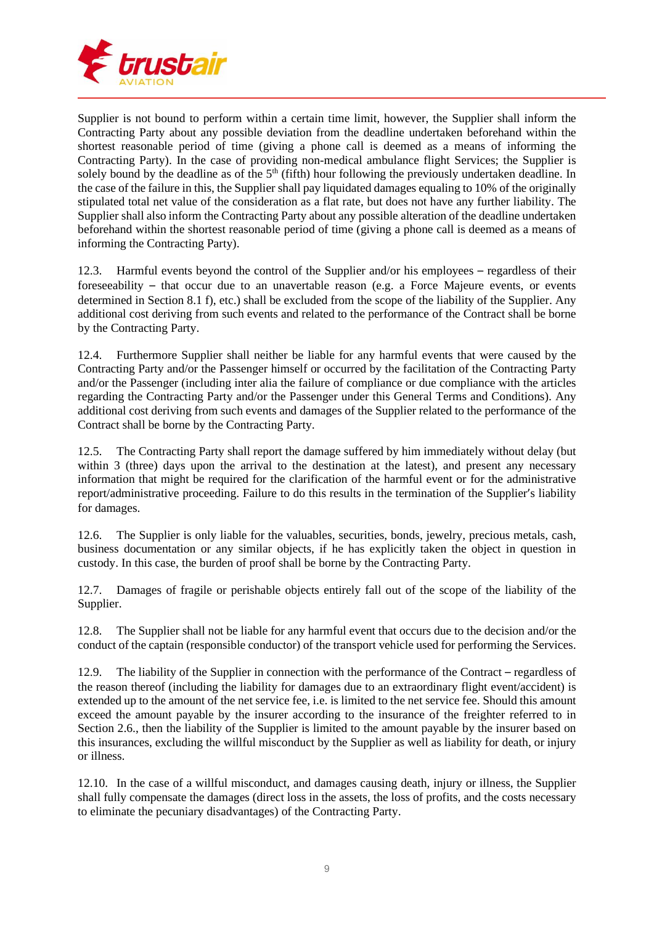

Supplier is not bound to perform within a certain time limit, however, the Supplier shall inform the Contracting Party about any possible deviation from the deadline undertaken beforehand within the shortest reasonable period of time (giving a phone call is deemed as a means of informing the Contracting Party). In the case of providing non-medical ambulance flight Services; the Supplier is solely bound by the deadline as of the  $5<sup>th</sup>$  (fifth) hour following the previously undertaken deadline. In the case of the failure in this, the Supplier shall pay liquidated damages equaling to 10% of the originally stipulated total net value of the consideration as a flat rate, but does not have any further liability. The Supplier shall also inform the Contracting Party about any possible alteration of the deadline undertaken beforehand within the shortest reasonable period of time (giving a phone call is deemed as a means of informing the Contracting Party).

12.3. Harmful events beyond the control of the Supplier and/or his employees – regardless of their foreseeability – that occur due to an unavertable reason (e.g. a Force Majeure events, or events determined in Section 8.1 f), etc.) shall be excluded from the scope of the liability of the Supplier. Any additional cost deriving from such events and related to the performance of the Contract shall be borne by the Contracting Party.

12.4. Furthermore Supplier shall neither be liable for any harmful events that were caused by the Contracting Party and/or the Passenger himself or occurred by the facilitation of the Contracting Party and/or the Passenger (including inter alia the failure of compliance or due compliance with the articles regarding the Contracting Party and/or the Passenger under this General Terms and Conditions). Any additional cost deriving from such events and damages of the Supplier related to the performance of the Contract shall be borne by the Contracting Party.

12.5. The Contracting Party shall report the damage suffered by him immediately without delay (but within 3 (three) days upon the arrival to the destination at the latest), and present any necessary information that might be required for the clarification of the harmful event or for the administrative report/administrative proceeding. Failure to do this results in the termination of the Supplier's liability for damages.

12.6. The Supplier is only liable for the valuables, securities, bonds, jewelry, precious metals, cash, business documentation or any similar objects, if he has explicitly taken the object in question in custody. In this case, the burden of proof shall be borne by the Contracting Party.

12.7. Damages of fragile or perishable objects entirely fall out of the scope of the liability of the Supplier.

12.8. The Supplier shall not be liable for any harmful event that occurs due to the decision and/or the conduct of the captain (responsible conductor) of the transport vehicle used for performing the Services.

12.9. The liability of the Supplier in connection with the performance of the Contract – regardless of the reason thereof (including the liability for damages due to an extraordinary flight event/accident) is extended up to the amount of the net service fee, i.e. is limited to the net service fee. Should this amount exceed the amount payable by the insurer according to the insurance of the freighter referred to in Section 2.6., then the liability of the Supplier is limited to the amount payable by the insurer based on this insurances, excluding the willful misconduct by the Supplier as well as liability for death, or injury or illness.

12.10. In the case of a willful misconduct, and damages causing death, injury or illness, the Supplier shall fully compensate the damages (direct loss in the assets, the loss of profits, and the costs necessary to eliminate the pecuniary disadvantages) of the Contracting Party.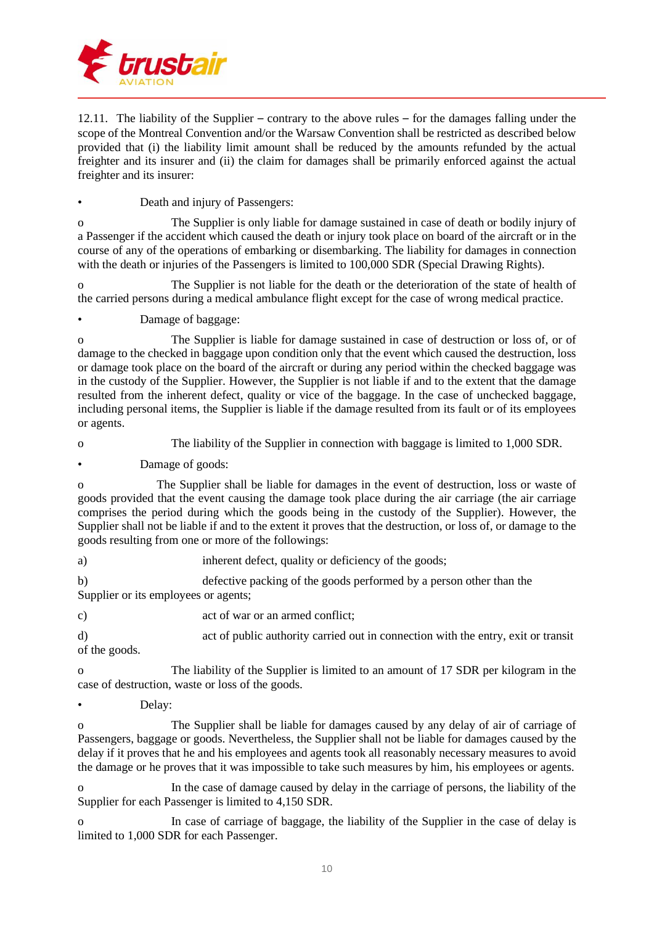

12.11. The liability of the Supplier – contrary to the above rules – for the damages falling under the scope of the Montreal Convention and/or the Warsaw Convention shall be restricted as described below provided that (i) the liability limit amount shall be reduced by the amounts refunded by the actual freighter and its insurer and (ii) the claim for damages shall be primarily enforced against the actual freighter and its insurer:

• Death and injury of Passengers:

o The Supplier is only liable for damage sustained in case of death or bodily injury of a Passenger if the accident which caused the death or injury took place on board of the aircraft or in the course of any of the operations of embarking or disembarking. The liability for damages in connection with the death or injuries of the Passengers is limited to 100,000 SDR (Special Drawing Rights).

o The Supplier is not liable for the death or the deterioration of the state of health of the carried persons during a medical ambulance flight except for the case of wrong medical practice.

• Damage of baggage:

o The Supplier is liable for damage sustained in case of destruction or loss of, or of damage to the checked in baggage upon condition only that the event which caused the destruction, loss or damage took place on the board of the aircraft or during any period within the checked baggage was in the custody of the Supplier. However, the Supplier is not liable if and to the extent that the damage resulted from the inherent defect, quality or vice of the baggage. In the case of unchecked baggage, including personal items, the Supplier is liable if the damage resulted from its fault or of its employees or agents.

o The liability of the Supplier in connection with baggage is limited to 1,000 SDR.

Damage of goods:

o The Supplier shall be liable for damages in the event of destruction, loss or waste of goods provided that the event causing the damage took place during the air carriage (the air carriage comprises the period during which the goods being in the custody of the Supplier). However, the Supplier shall not be liable if and to the extent it proves that the destruction, or loss of, or damage to the goods resulting from one or more of the followings:

a) inherent defect, quality or deficiency of the goods;

b) defective packing of the goods performed by a person other than the Supplier or its employees or agents;

c) act of war or an armed conflict;

d) act of public authority carried out in connection with the entry, exit or transit of the goods.

o The liability of the Supplier is limited to an amount of 17 SDR per kilogram in the case of destruction, waste or loss of the goods.

Delay:

o The Supplier shall be liable for damages caused by any delay of air of carriage of Passengers, baggage or goods. Nevertheless, the Supplier shall not be liable for damages caused by the delay if it proves that he and his employees and agents took all reasonably necessary measures to avoid the damage or he proves that it was impossible to take such measures by him, his employees or agents.

o In the case of damage caused by delay in the carriage of persons, the liability of the Supplier for each Passenger is limited to 4,150 SDR.

o In case of carriage of baggage, the liability of the Supplier in the case of delay is limited to 1,000 SDR for each Passenger.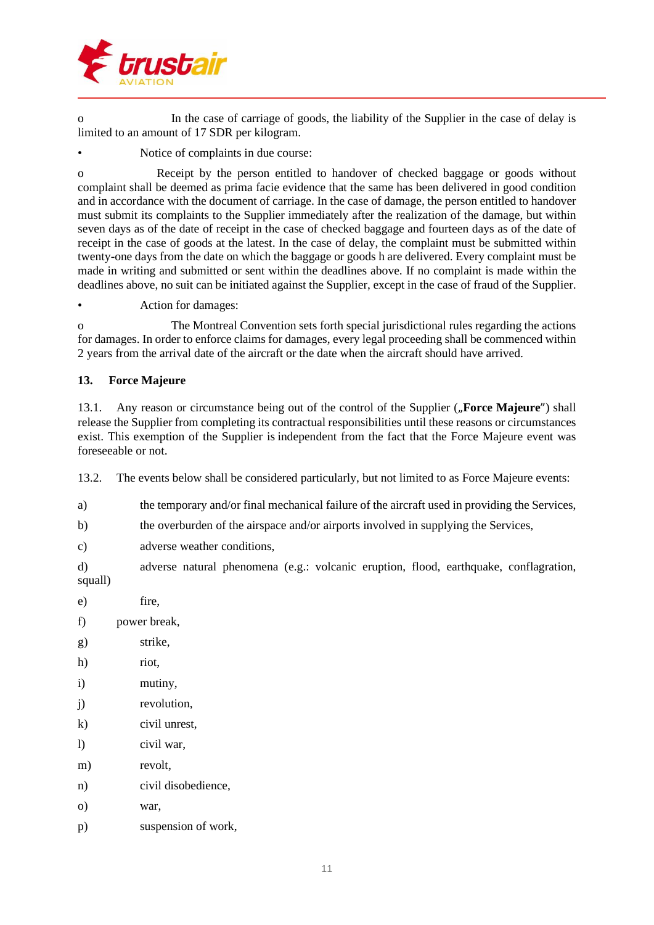

o In the case of carriage of goods, the liability of the Supplier in the case of delay is limited to an amount of 17 SDR per kilogram.

• Notice of complaints in due course:

o Receipt by the person entitled to handover of checked baggage or goods without complaint shall be deemed as prima facie evidence that the same has been delivered in good condition and in accordance with the document of carriage. In the case of damage, the person entitled to handover must submit its complaints to the Supplier immediately after the realization of the damage, but within seven days as of the date of receipt in the case of checked baggage and fourteen days as of the date of receipt in the case of goods at the latest. In the case of delay, the complaint must be submitted within twenty-one days from the date on which the baggage or goods h are delivered. Every complaint must be made in writing and submitted or sent within the deadlines above. If no complaint is made within the deadlines above, no suit can be initiated against the Supplier, except in the case of fraud of the Supplier.

• Action for damages:

o The Montreal Convention sets forth special jurisdictional rules regarding the actions for damages. In order to enforce claims for damages, every legal proceeding shall be commenced within 2 years from the arrival date of the aircraft or the date when the aircraft should have arrived.

#### **13. Force Majeure**

13.1. Any reason or circumstance being out of the control of the Supplier ("Force Majeure") shall release the Supplier from completing its contractual responsibilities until these reasons or circumstances exist. This exemption of the Supplier is independent from the fact that the Force Majeure event was foreseeable or not.

13.2. The events below shall be considered particularly, but not limited to as Force Majeure events:

- a) the temporary and/or final mechanical failure of the aircraft used in providing the Services,
- b) the overburden of the airspace and/or airports involved in supplying the Services,
- c) adverse weather conditions,

d) adverse natural phenomena (e.g.: volcanic eruption, flood, earthquake, conflagration, squall)

- e) fire, f) power break, g) strike, h) riot, i) mutiny, j) revolution, k) civil unrest,
- l) civil war,
- m) revolt,
- n) civil disobedience,
- o) war,
- p) suspension of work,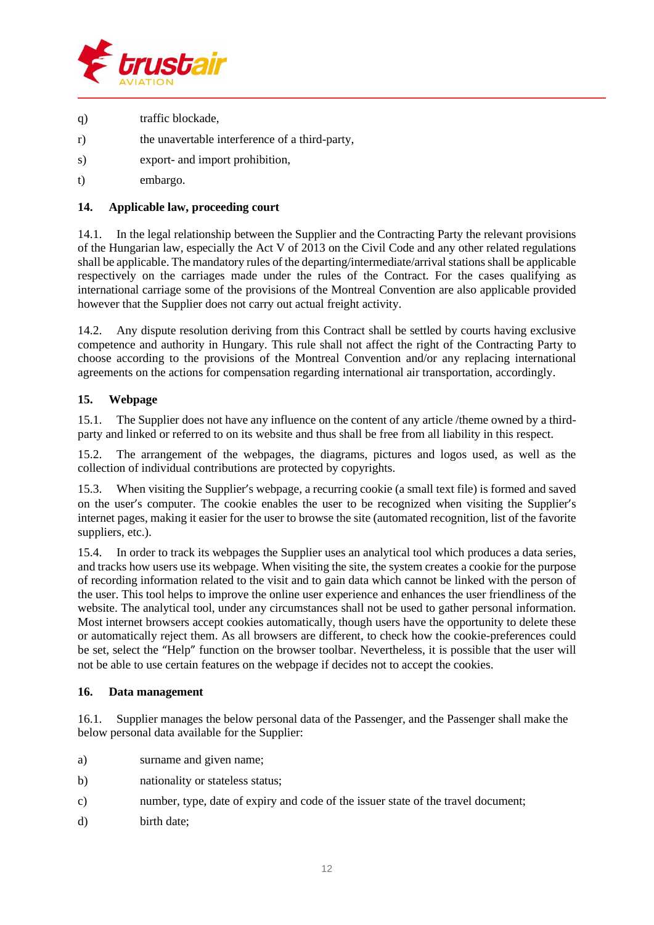

- q) traffic blockade,
- r) the unavertable interference of a third-party,
- s) export- and import prohibition,
- t) embargo.

#### **14. Applicable law, proceeding court**

14.1. In the legal relationship between the Supplier and the Contracting Party the relevant provisions of the Hungarian law, especially the Act V of 2013 on the Civil Code and any other related regulations shall be applicable. The mandatory rules of the departing/intermediate/arrival stationsshall be applicable respectively on the carriages made under the rules of the Contract. For the cases qualifying as international carriage some of the provisions of the Montreal Convention are also applicable provided however that the Supplier does not carry out actual freight activity.

14.2. Any dispute resolution deriving from this Contract shall be settled by courts having exclusive competence and authority in Hungary. This rule shall not affect the right of the Contracting Party to choose according to the provisions of the Montreal Convention and/or any replacing international agreements on the actions for compensation regarding international air transportation, accordingly.

## **15. Webpage**

15.1. The Supplier does not have any influence on the content of any article /theme owned by a thirdparty and linked or referred to on its website and thus shall be free from all liability in this respect.

15.2. The arrangement of the webpages, the diagrams, pictures and logos used, as well as the collection of individual contributions are protected by copyrights.

15.3. When visiting the Supplier's webpage, a recurring cookie (a small text file) is formed and saved on the user's computer. The cookie enables the user to be recognized when visiting the Supplier's internet pages, making it easier for the user to browse the site (automated recognition, list of the favorite suppliers, etc.).

15.4. In order to track its webpages the Supplier uses an analytical tool which produces a data series, and tracks how users use its webpage. When visiting the site, the system creates a cookie for the purpose of recording information related to the visit and to gain data which cannot be linked with the person of the user. This tool helps to improve the online user experience and enhances the user friendliness of the website. The analytical tool, under any circumstances shall not be used to gather personal information. Most internet browsers accept cookies automatically, though users have the opportunity to delete these or automatically reject them. As all browsers are different, to check how the cookie-preferences could be set, select the "Help" function on the browser toolbar. Nevertheless, it is possible that the user will not be able to use certain features on the webpage if decides not to accept the cookies.

#### **16. Data management**

16.1. Supplier manages the below personal data of the Passenger, and the Passenger shall make the below personal data available for the Supplier:

- a) surname and given name;
- b) nationality or stateless status:
- c) number, type, date of expiry and code of the issuer state of the travel document;
- d) birth date;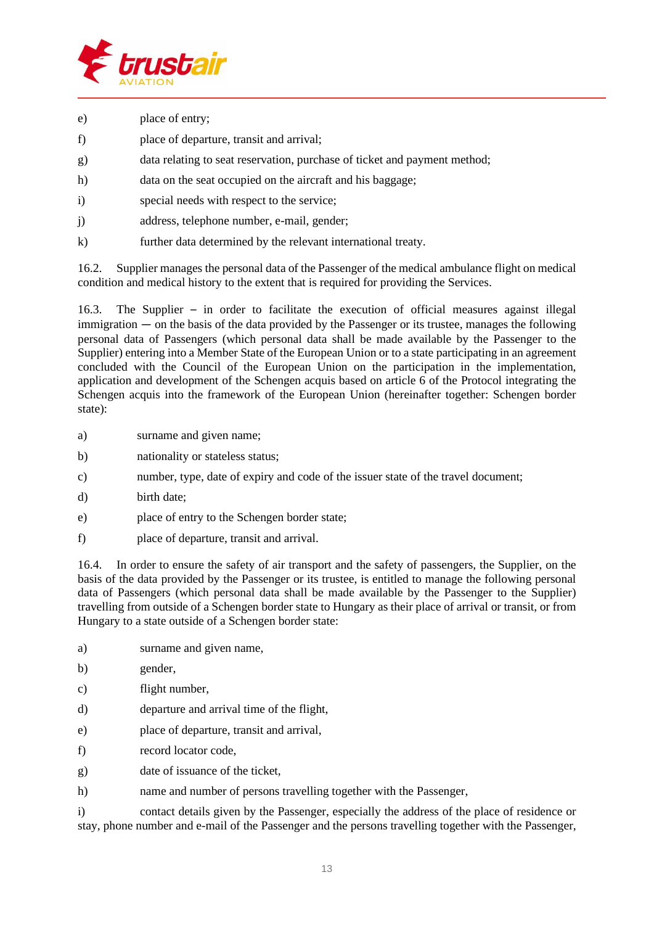

- e) place of entry;
- f) place of departure, transit and arrival;
- g) data relating to seat reservation, purchase of ticket and payment method;
- h) data on the seat occupied on the aircraft and his baggage;
- i) special needs with respect to the service;
- j) address, telephone number, e-mail, gender;
- k) further data determined by the relevant international treaty.

16.2. Supplier manages the personal data of the Passenger of the medical ambulance flight on medical condition and medical history to the extent that is required for providing the Services.

16.3. The Supplier – in order to facilitate the execution of official measures against illegal immigration — on the basis of the data provided by the Passenger or its trustee, manages the following personal data of Passengers (which personal data shall be made available by the Passenger to the Supplier) entering into a Member State of the European Union or to a state participating in an agreement concluded with the Council of the European Union on the participation in the implementation, application and development of the Schengen acquis based on article 6 of the Protocol integrating the Schengen acquis into the framework of the European Union (hereinafter together: Schengen border state):

- a) surname and given name;
- b) nationality or stateless status;
- c) number, type, date of expiry and code of the issuer state of the travel document;
- d) birth date;
- e) place of entry to the Schengen border state;
- f) place of departure, transit and arrival.

16.4. In order to ensure the safety of air transport and the safety of passengers, the Supplier, on the basis of the data provided by the Passenger or its trustee, is entitled to manage the following personal data of Passengers (which personal data shall be made available by the Passenger to the Supplier) travelling from outside of a Schengen border state to Hungary as their place of arrival or transit, or from Hungary to a state outside of a Schengen border state:

- a) surname and given name,
- b) gender,
- c) flight number,
- d) departure and arrival time of the flight,
- e) place of departure, transit and arrival,
- f) record locator code,
- g) date of issuance of the ticket,
- h) name and number of persons travelling together with the Passenger,

i) contact details given by the Passenger, especially the address of the place of residence or stay, phone number and e-mail of the Passenger and the persons travelling together with the Passenger,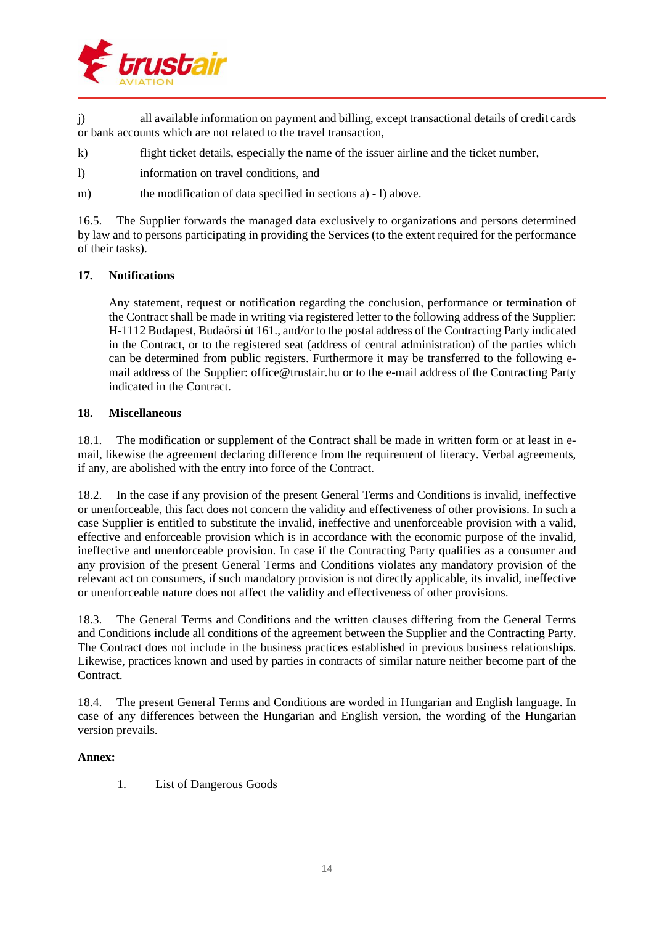

j) all available information on payment and billing, except transactional details of credit cards or bank accounts which are not related to the travel transaction,

- k) flight ticket details, especially the name of the issuer airline and the ticket number,
- l) information on travel conditions, and
- m) the modification of data specified in sections a) l) above.

16.5. The Supplier forwards the managed data exclusively to organizations and persons determined by law and to persons participating in providing the Services (to the extent required for the performance of their tasks).

#### **17. Notifications**

Any statement, request or notification regarding the conclusion, performance or termination of the Contract shall be made in writing via registered letter to the following address of the Supplier: H-1112 Budapest, Budaörsi út 161., and/or to the postal address of the Contracting Party indicated in the Contract, or to the registered seat (address of central administration) of the parties which can be determined from public registers. Furthermore it may be transferred to the following email address of the Supplier: office@trustair.hu or to the e-mail address of the Contracting Party indicated in the Contract.

#### **18. Miscellaneous**

18.1. The modification or supplement of the Contract shall be made in written form or at least in email, likewise the agreement declaring difference from the requirement of literacy. Verbal agreements, if any, are abolished with the entry into force of the Contract.

18.2. In the case if any provision of the present General Terms and Conditions is invalid, ineffective or unenforceable, this fact does not concern the validity and effectiveness of other provisions. In such a case Supplier is entitled to substitute the invalid, ineffective and unenforceable provision with a valid, effective and enforceable provision which is in accordance with the economic purpose of the invalid, ineffective and unenforceable provision. In case if the Contracting Party qualifies as a consumer and any provision of the present General Terms and Conditions violates any mandatory provision of the relevant act on consumers, if such mandatory provision is not directly applicable, its invalid, ineffective or unenforceable nature does not affect the validity and effectiveness of other provisions.

18.3. The General Terms and Conditions and the written clauses differing from the General Terms and Conditions include all conditions of the agreement between the Supplier and the Contracting Party. The Contract does not include in the business practices established in previous business relationships. Likewise, practices known and used by parties in contracts of similar nature neither become part of the Contract.

18.4. The present General Terms and Conditions are worded in Hungarian and English language. In case of any differences between the Hungarian and English version, the wording of the Hungarian version prevails.

#### **Annex:**

1. List of Dangerous Goods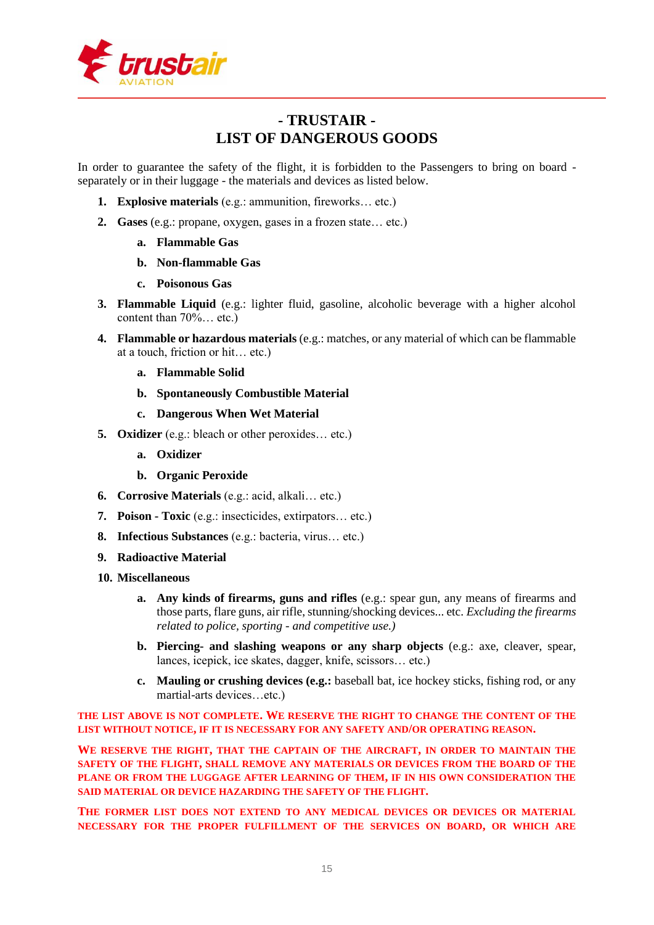

# **- TRUSTAIR - LIST OF DANGEROUS GOODS**

In order to guarantee the safety of the flight, it is forbidden to the Passengers to bring on board separately or in their luggage - the materials and devices as listed below.

- **1. Explosive materials** (e.g.: ammunition, fireworks… etc.)
- **2. Gases** (e.g.: propane, oxygen, gases in a frozen state… etc.)
	- **a. Flammable Gas**
	- **b. Non-flammable Gas**
	- **c. Poisonous Gas**
- **3. Flammable Liquid** (e.g.: lighter fluid, gasoline, alcoholic beverage with a higher alcohol content than 70%… etc.)
- **4. Flammable or hazardous materials** (e.g.: matches, or any material of which can be flammable at a touch, friction or hit… etc.)
	- **a. Flammable Solid**
	- **b. Spontaneously Combustible Material**
	- **c. Dangerous When Wet Material**
- **5. Oxidizer** (e.g.: bleach or other peroxides… etc.)
	- **a. Oxidizer**
	- **b. Organic Peroxide**
- **6. Corrosive Materials** (e.g.: acid, alkali… etc.)
- **7. Poison - Toxic** (e.g.: insecticides, extirpators… etc.)
- **8. Infectious Substances** (e.g.: bacteria, virus… etc.)
- **9. Radioactive Material**
- **10. Miscellaneous**
	- **a. Any kinds of firearms, guns and rifles** (e.g.: spear gun, any means of firearms and those parts, flare guns, air rifle, stunning/shocking devices... etc. *Excluding the firearms related to police, sporting - and competitive use.)*
	- **b. Piercing- and slashing weapons or any sharp objects** (e.g.: axe, cleaver, spear, lances, icepick, ice skates, dagger, knife, scissors… etc.)
	- **c. Mauling or crushing devices (e.g.:** baseball bat, ice hockey sticks, fishing rod, or any martial-arts devices…etc.)

**THE LIST ABOVE IS NOT COMPLETE. WE RESERVE THE RIGHT TO CHANGE THE CONTENT OF THE LIST WITHOUT NOTICE, IF IT IS NECESSARY FOR ANY SAFETY AND/OR OPERATING REASON.**

**WE RESERVE THE RIGHT, THAT THE CAPTAIN OF THE AIRCRAFT, IN ORDER TO MAINTAIN THE SAFETY OF THE FLIGHT, SHALL REMOVE ANY MATERIALS OR DEVICES FROM THE BOARD OF THE PLANE OR FROM THE LUGGAGE AFTER LEARNING OF THEM, IF IN HIS OWN CONSIDERATION THE SAID MATERIAL OR DEVICE HAZARDING THE SAFETY OF THE FLIGHT.**

**THE FORMER LIST DOES NOT EXTEND TO ANY MEDICAL DEVICES OR DEVICES OR MATERIAL NECESSARY FOR THE PROPER FULFILLMENT OF THE SERVICES ON BOARD, OR WHICH ARE**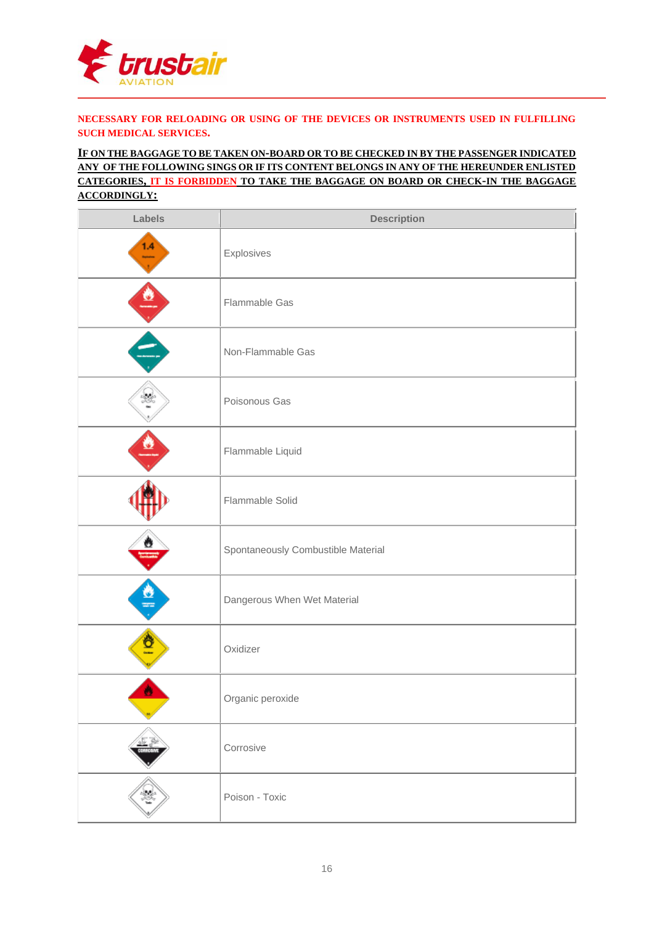

#### **NECESSARY FOR RELOADING OR USING OF THE DEVICES OR INSTRUMENTS USED IN FULFILLING SUCH MEDICAL SERVICES.**

#### **IF ON THE BAGGAGE TO BE TAKEN ON-BOARD OR TO BE CHECKED IN BY THE PASSENGER INDICATED ANY OF THE FOLLOWING SINGS OR IF ITS CONTENT BELONGS IN ANY OF THE HEREUNDER ENLISTED CATEGORIES, IT IS FORBIDDEN TO TAKE THE BAGGAGE ON BOARD OR CHECK-IN THE BAGGAGE ACCORDINGLY:**

| Labels           | <b>Description</b>                 |
|------------------|------------------------------------|
| 1.4<br>man and a | Explosives                         |
| $\bullet$        | Flammable Gas                      |
|                  | Non-Flammable Gas                  |
|                  | Poisonous Gas                      |
|                  | Flammable Liquid                   |
|                  | Flammable Solid                    |
|                  | Spontaneously Combustible Material |
| ö                | Dangerous When Wet Material        |
|                  | Oxidizer                           |
|                  | Organic peroxide                   |
|                  | Corrosive                          |
| ¥.               | Poison - Toxic                     |